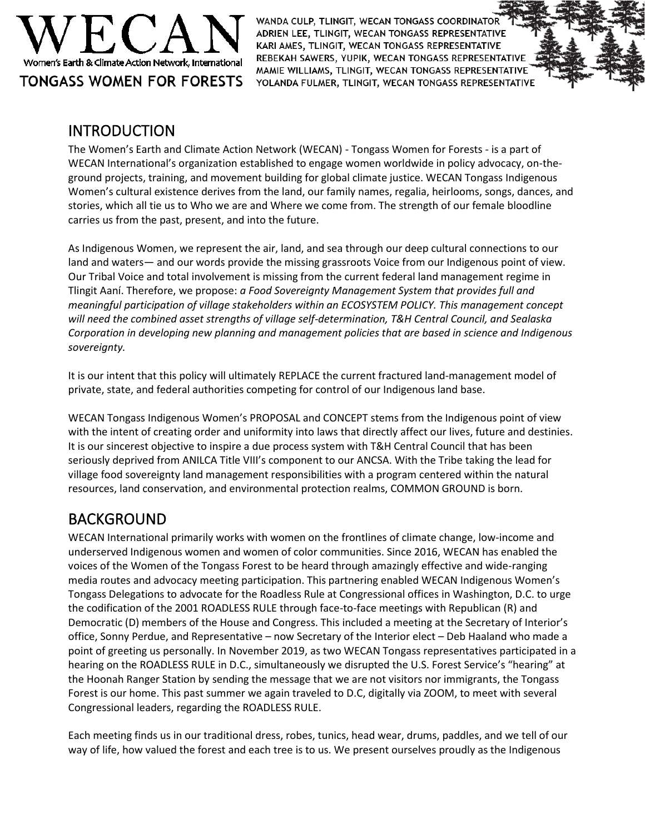

WANDA CULP, TLINGIT, WECAN TONGASS COORDINATOR ADRIEN LEE, TLINGIT, WECAN TONGASS REPRESENTATIVE KARI AMES, TLINGIT, WECAN TONGASS REPRESENTATIVE REBEKAH SAWERS, YUPIK, WECAN TONGASS REPRESENTATIVE MAMIE WILLIAMS, TLINGIT, WECAN TONGASS REPRESENTATIVE YOLANDA FULMER, TLINGIT, WECAN TONGASS REPRESENTATIVE

## INTRODUCTION

The Women's Earth and Climate Action Network (WECAN) - Tongass Women for Forests - is a part of WECAN International's organization established to engage women worldwide in policy advocacy, on-theground projects, training, and movement building for global climate justice. WECAN Tongass Indigenous Women's cultural existence derives from the land, our family names, regalia, heirlooms, songs, dances, and stories, which all tie us to Who we are and Where we come from. The strength of our female bloodline carries us from the past, present, and into the future.

As Indigenous Women, we represent the air, land, and sea through our deep cultural connections to our land and waters— and our words provide the missing grassroots Voice from our Indigenous point of view. Our Tribal Voice and total involvement is missing from the current federal land management regime in Tlingit Aaní. Therefore, we propose: *a Food Sovereignty Management System that provides full and meaningful participation of village stakeholders within an ECOSYSTEM POLICY. This management concept will need the combined asset strengths of village self-determination, T&H Central Council, and Sealaska Corporation in developing new planning and management policies that are based in science and Indigenous sovereignty.*

It is our intent that this policy will ultimately REPLACE the current fractured land-management model of private, state, and federal authorities competing for control of our Indigenous land base.

WECAN Tongass Indigenous Women's PROPOSAL and CONCEPT stems from the Indigenous point of view with the intent of creating order and uniformity into laws that directly affect our lives, future and destinies. It is our sincerest objective to inspire a due process system with T&H Central Council that has been seriously deprived from ANILCA Title VIII's component to our ANCSA. With the Tribe taking the lead for village food sovereignty land management responsibilities with a program centered within the natural resources, land conservation, and environmental protection realms, COMMON GROUND is born.

# BACKGROUND

WECAN International primarily works with women on the frontlines of climate change, low-income and underserved Indigenous women and women of color communities. Since 2016, WECAN has enabled the voices of the Women of the Tongass Forest to be heard through amazingly effective and wide-ranging media routes and advocacy meeting participation. This partnering enabled WECAN Indigenous Women's Tongass Delegations to advocate for the Roadless Rule at Congressional offices in Washington, D.C. to urge the codification of the 2001 ROADLESS RULE through face-to-face meetings with Republican (R) and Democratic (D) members of the House and Congress. This included a meeting at the Secretary of Interior's office, Sonny Perdue, and Representative – now Secretary of the Interior elect – Deb Haaland who made a point of greeting us personally. In November 2019, as two WECAN Tongass representatives participated in a hearing on the ROADLESS RULE in D.C., simultaneously we disrupted the U.S. Forest Service's "hearing" at the Hoonah Ranger Station by sending the message that we are not visitors nor immigrants, the Tongass Forest is our home. This past summer we again traveled to D.C, digitally via ZOOM, to meet with several Congressional leaders, regarding the ROADLESS RULE.

Each meeting finds us in our traditional dress, robes, tunics, head wear, drums, paddles, and we tell of our way of life, how valued the forest and each tree is to us. We present ourselves proudly as the Indigenous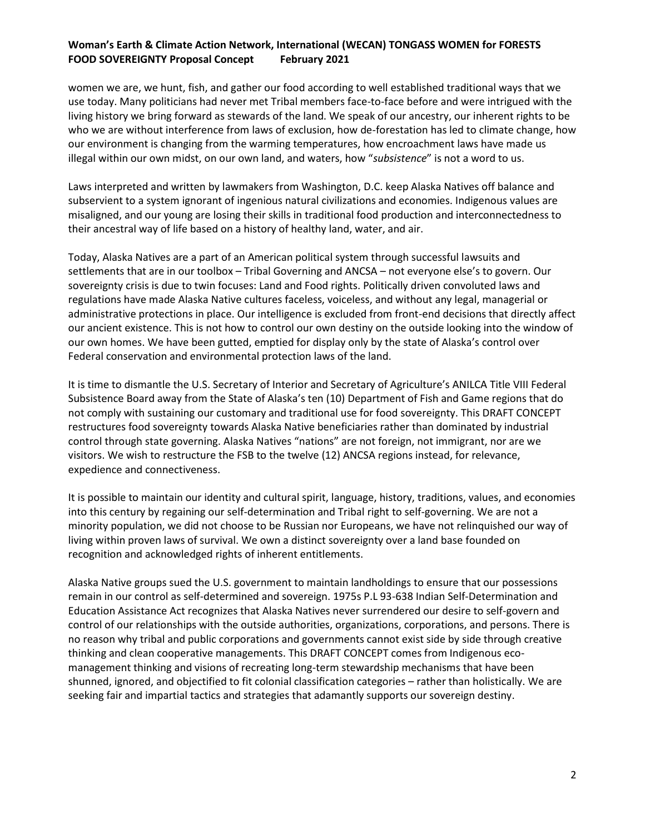women we are, we hunt, fish, and gather our food according to well established traditional ways that we use today. Many politicians had never met Tribal members face-to-face before and were intrigued with the living history we bring forward as stewards of the land. We speak of our ancestry, our inherent rights to be who we are without interference from laws of exclusion, how de-forestation has led to climate change, how our environment is changing from the warming temperatures, how encroachment laws have made us illegal within our own midst, on our own land, and waters, how "*subsistence*" is not a word to us.

Laws interpreted and written by lawmakers from Washington, D.C. keep Alaska Natives off balance and subservient to a system ignorant of ingenious natural civilizations and economies. Indigenous values are misaligned, and our young are losing their skills in traditional food production and interconnectedness to their ancestral way of life based on a history of healthy land, water, and air.

Today, Alaska Natives are a part of an American political system through successful lawsuits and settlements that are in our toolbox – Tribal Governing and ANCSA – not everyone else's to govern. Our sovereignty crisis is due to twin focuses: Land and Food rights. Politically driven convoluted laws and regulations have made Alaska Native cultures faceless, voiceless, and without any legal, managerial or administrative protections in place. Our intelligence is excluded from front-end decisions that directly affect our ancient existence. This is not how to control our own destiny on the outside looking into the window of our own homes. We have been gutted, emptied for display only by the state of Alaska's control over Federal conservation and environmental protection laws of the land.

It is time to dismantle the U.S. Secretary of Interior and Secretary of Agriculture's ANILCA Title VIII Federal Subsistence Board away from the State of Alaska's ten (10) Department of Fish and Game regions that do not comply with sustaining our customary and traditional use for food sovereignty. This DRAFT CONCEPT restructures food sovereignty towards Alaska Native beneficiaries rather than dominated by industrial control through state governing. Alaska Natives "nations" are not foreign, not immigrant, nor are we visitors. We wish to restructure the FSB to the twelve (12) ANCSA regions instead, for relevance, expedience and connectiveness.

It is possible to maintain our identity and cultural spirit, language, history, traditions, values, and economies into this century by regaining our self-determination and Tribal right to self-governing. We are not a minority population, we did not choose to be Russian nor Europeans, we have not relinquished our way of living within proven laws of survival. We own a distinct sovereignty over a land base founded on recognition and acknowledged rights of inherent entitlements.

Alaska Native groups sued the U.S. government to maintain landholdings to ensure that our possessions remain in our control as self-determined and sovereign. 1975s P.L 93-638 Indian Self-Determination and Education Assistance Act recognizes that Alaska Natives never surrendered our desire to self-govern and control of our relationships with the outside authorities, organizations, corporations, and persons. There is no reason why tribal and public corporations and governments cannot exist side by side through creative thinking and clean cooperative managements. This DRAFT CONCEPT comes from Indigenous ecomanagement thinking and visions of recreating long-term stewardship mechanisms that have been shunned, ignored, and objectified to fit colonial classification categories – rather than holistically. We are seeking fair and impartial tactics and strategies that adamantly supports our sovereign destiny.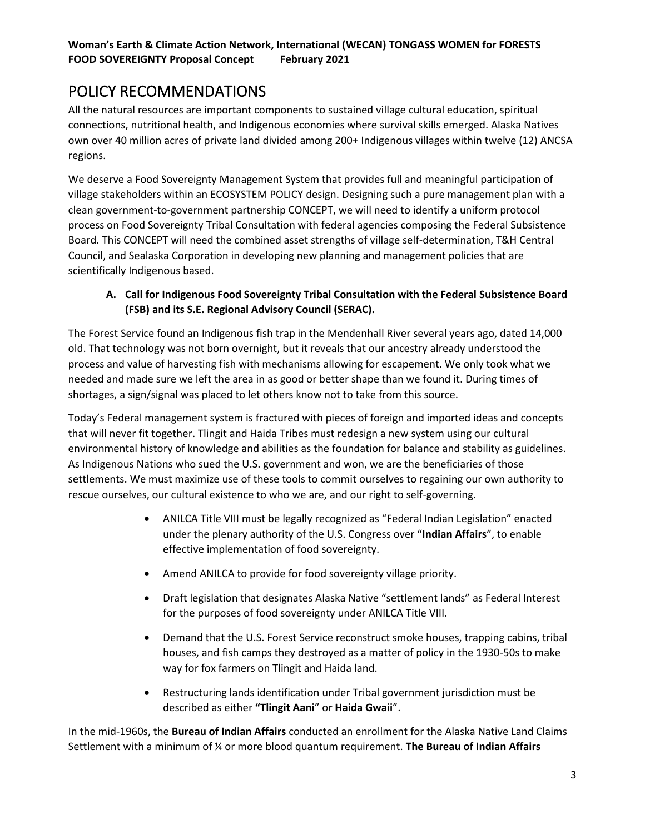# POLICY RECOMMENDATIONS

All the natural resources are important components to sustained village cultural education, spiritual connections, nutritional health, and Indigenous economies where survival skills emerged. Alaska Natives own over 40 million acres of private land divided among 200+ Indigenous villages within twelve (12) ANCSA regions.

We deserve a Food Sovereignty Management System that provides full and meaningful participation of village stakeholders within an ECOSYSTEM POLICY design. Designing such a pure management plan with a clean government-to-government partnership CONCEPT, we will need to identify a uniform protocol process on Food Sovereignty Tribal Consultation with federal agencies composing the Federal Subsistence Board. This CONCEPT will need the combined asset strengths of village self-determination, T&H Central Council, and Sealaska Corporation in developing new planning and management policies that are scientifically Indigenous based.

## **A. Call for Indigenous Food Sovereignty Tribal Consultation with the Federal Subsistence Board (FSB) and its S.E. Regional Advisory Council (SERAC).**

The Forest Service found an Indigenous fish trap in the Mendenhall River several years ago, dated 14,000 old. That technology was not born overnight, but it reveals that our ancestry already understood the process and value of harvesting fish with mechanisms allowing for escapement. We only took what we needed and made sure we left the area in as good or better shape than we found it. During times of shortages, a sign/signal was placed to let others know not to take from this source.

Today's Federal management system is fractured with pieces of foreign and imported ideas and concepts that will never fit together. Tlingit and Haida Tribes must redesign a new system using our cultural environmental history of knowledge and abilities as the foundation for balance and stability as guidelines. As Indigenous Nations who sued the U.S. government and won, we are the beneficiaries of those settlements. We must maximize use of these tools to commit ourselves to regaining our own authority to rescue ourselves, our cultural existence to who we are, and our right to self-governing.

- ANILCA Title VIII must be legally recognized as "Federal Indian Legislation" enacted under the plenary authority of the U.S. Congress over "**Indian Affairs**", to enable effective implementation of food sovereignty.
- Amend ANILCA to provide for food sovereignty village priority.
- Draft legislation that designates Alaska Native "settlement lands" as Federal Interest for the purposes of food sovereignty under ANILCA Title VIII.
- Demand that the U.S. Forest Service reconstruct smoke houses, trapping cabins, tribal houses, and fish camps they destroyed as a matter of policy in the 1930-50s to make way for fox farmers on Tlingit and Haida land.
- Restructuring lands identification under Tribal government jurisdiction must be described as either **"Tlingit Aani**" or **Haida Gwaii**".

In the mid-1960s, the **Bureau of Indian Affairs** conducted an enrollment for the Alaska Native Land Claims Settlement with a minimum of ¼ or more blood quantum requirement. **The Bureau of Indian Affairs**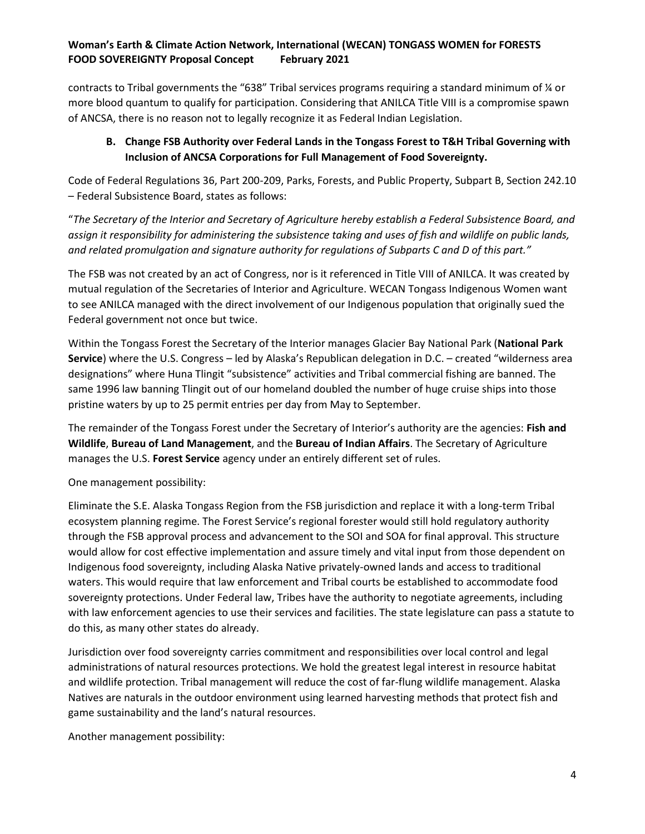contracts to Tribal governments the "638" Tribal services programs requiring a standard minimum of ¼ or more blood quantum to qualify for participation. Considering that ANILCA Title VIII is a compromise spawn of ANCSA, there is no reason not to legally recognize it as Federal Indian Legislation.

#### **B. Change FSB Authority over Federal Lands in the Tongass Forest to T&H Tribal Governing with Inclusion of ANCSA Corporations for Full Management of Food Sovereignty.**

Code of Federal Regulations 36, Part 200-209, Parks, Forests, and Public Property, Subpart B, Section 242.10 – Federal Subsistence Board, states as follows:

"*The Secretary of the Interior and Secretary of Agriculture hereby establish a Federal Subsistence Board, and assign it responsibility for administering the subsistence taking and uses of fish and wildlife on public lands, and related promulgation and signature authority for regulations of Subparts C and D of this part."*

The FSB was not created by an act of Congress, nor is it referenced in Title VIII of ANILCA. It was created by mutual regulation of the Secretaries of Interior and Agriculture. WECAN Tongass Indigenous Women want to see ANILCA managed with the direct involvement of our Indigenous population that originally sued the Federal government not once but twice.

Within the Tongass Forest the Secretary of the Interior manages Glacier Bay National Park (**National Park Service**) where the U.S. Congress – led by Alaska's Republican delegation in D.C. – created "wilderness area designations" where Huna Tlingit "subsistence" activities and Tribal commercial fishing are banned. The same 1996 law banning Tlingit out of our homeland doubled the number of huge cruise ships into those pristine waters by up to 25 permit entries per day from May to September.

The remainder of the Tongass Forest under the Secretary of Interior's authority are the agencies: **Fish and Wildlife**, **Bureau of Land Management**, and the **Bureau of Indian Affairs**. The Secretary of Agriculture manages the U.S. **Forest Service** agency under an entirely different set of rules.

One management possibility:

Eliminate the S.E. Alaska Tongass Region from the FSB jurisdiction and replace it with a long-term Tribal ecosystem planning regime. The Forest Service's regional forester would still hold regulatory authority through the FSB approval process and advancement to the SOI and SOA for final approval. This structure would allow for cost effective implementation and assure timely and vital input from those dependent on Indigenous food sovereignty, including Alaska Native privately-owned lands and access to traditional waters. This would require that law enforcement and Tribal courts be established to accommodate food sovereignty protections. Under Federal law, Tribes have the authority to negotiate agreements, including with law enforcement agencies to use their services and facilities. The state legislature can pass a statute to do this, as many other states do already.

Jurisdiction over food sovereignty carries commitment and responsibilities over local control and legal administrations of natural resources protections. We hold the greatest legal interest in resource habitat and wildlife protection. Tribal management will reduce the cost of far-flung wildlife management. Alaska Natives are naturals in the outdoor environment using learned harvesting methods that protect fish and game sustainability and the land's natural resources.

Another management possibility: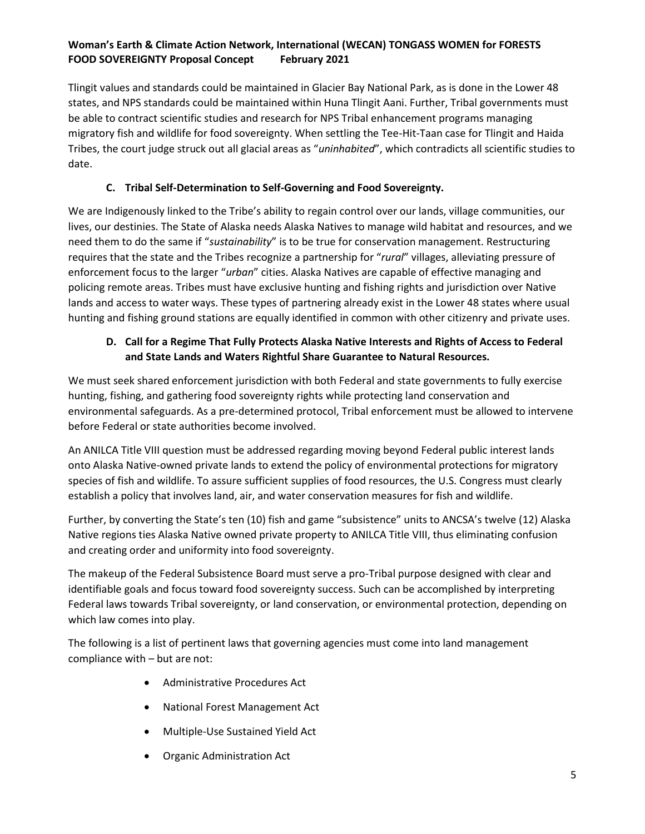Tlingit values and standards could be maintained in Glacier Bay National Park, as is done in the Lower 48 states, and NPS standards could be maintained within Huna Tlingit Aani. Further, Tribal governments must be able to contract scientific studies and research for NPS Tribal enhancement programs managing migratory fish and wildlife for food sovereignty. When settling the Tee-Hit-Taan case for Tlingit and Haida Tribes, the court judge struck out all glacial areas as "*uninhabited*", which contradicts all scientific studies to date.

## **C. Tribal Self-Determination to Self-Governing and Food Sovereignty.**

We are Indigenously linked to the Tribe's ability to regain control over our lands, village communities, our lives, our destinies. The State of Alaska needs Alaska Natives to manage wild habitat and resources, and we need them to do the same if "*sustainability*" is to be true for conservation management. Restructuring requires that the state and the Tribes recognize a partnership for "*rural*" villages, alleviating pressure of enforcement focus to the larger "*urban*" cities. Alaska Natives are capable of effective managing and policing remote areas. Tribes must have exclusive hunting and fishing rights and jurisdiction over Native lands and access to water ways. These types of partnering already exist in the Lower 48 states where usual hunting and fishing ground stations are equally identified in common with other citizenry and private uses.

## **D. Call for a Regime That Fully Protects Alaska Native Interests and Rights of Access to Federal and State Lands and Waters Rightful Share Guarantee to Natural Resources.**

We must seek shared enforcement jurisdiction with both Federal and state governments to fully exercise hunting, fishing, and gathering food sovereignty rights while protecting land conservation and environmental safeguards. As a pre-determined protocol, Tribal enforcement must be allowed to intervene before Federal or state authorities become involved.

An ANILCA Title VIII question must be addressed regarding moving beyond Federal public interest lands onto Alaska Native-owned private lands to extend the policy of environmental protections for migratory species of fish and wildlife. To assure sufficient supplies of food resources, the U.S. Congress must clearly establish a policy that involves land, air, and water conservation measures for fish and wildlife.

Further, by converting the State's ten (10) fish and game "subsistence" units to ANCSA's twelve (12) Alaska Native regions ties Alaska Native owned private property to ANILCA Title VIII, thus eliminating confusion and creating order and uniformity into food sovereignty.

The makeup of the Federal Subsistence Board must serve a pro-Tribal purpose designed with clear and identifiable goals and focus toward food sovereignty success. Such can be accomplished by interpreting Federal laws towards Tribal sovereignty, or land conservation, or environmental protection, depending on which law comes into play.

The following is a list of pertinent laws that governing agencies must come into land management compliance with – but are not:

- Administrative Procedures Act
- National Forest Management Act
- Multiple-Use Sustained Yield Act
- Organic Administration Act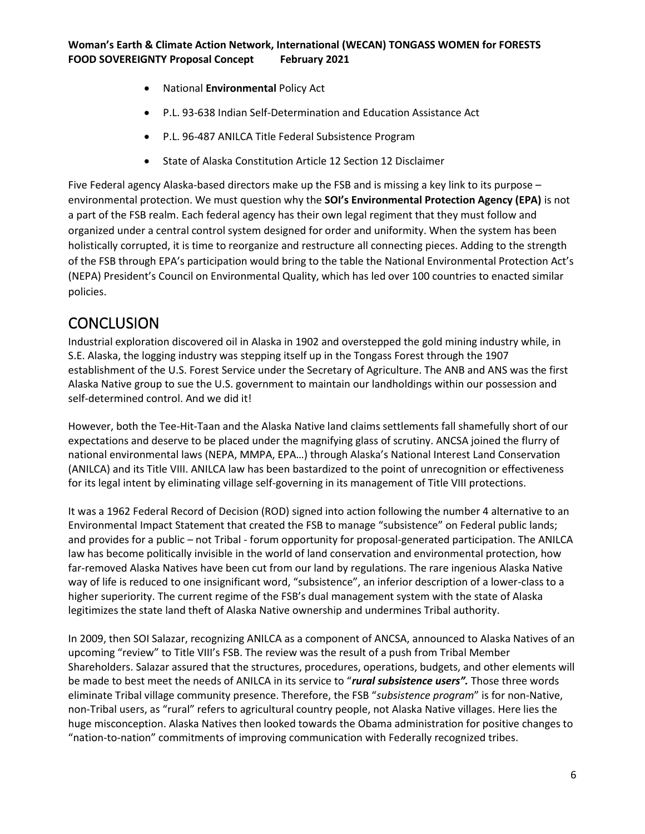- National **Environmental** Policy Act
- P.L. 93-638 Indian Self-Determination and Education Assistance Act
- P.L. 96-487 ANILCA Title Federal Subsistence Program
- State of Alaska Constitution Article 12 Section 12 Disclaimer

Five Federal agency Alaska-based directors make up the FSB and is missing a key link to its purpose – environmental protection. We must question why the **SOI's Environmental Protection Agency (EPA)** is not a part of the FSB realm. Each federal agency has their own legal regiment that they must follow and organized under a central control system designed for order and uniformity. When the system has been holistically corrupted, it is time to reorganize and restructure all connecting pieces. Adding to the strength of the FSB through EPA's participation would bring to the table the National Environmental Protection Act's (NEPA) President's Council on Environmental Quality, which has led over 100 countries to enacted similar policies.

# **CONCLUSION**

Industrial exploration discovered oil in Alaska in 1902 and overstepped the gold mining industry while, in S.E. Alaska, the logging industry was stepping itself up in the Tongass Forest through the 1907 establishment of the U.S. Forest Service under the Secretary of Agriculture. The ANB and ANS was the first Alaska Native group to sue the U.S. government to maintain our landholdings within our possession and self-determined control. And we did it!

However, both the Tee-Hit-Taan and the Alaska Native land claims settlements fall shamefully short of our expectations and deserve to be placed under the magnifying glass of scrutiny. ANCSA joined the flurry of national environmental laws (NEPA, MMPA, EPA…) through Alaska's National Interest Land Conservation (ANILCA) and its Title VIII. ANILCA law has been bastardized to the point of unrecognition or effectiveness for its legal intent by eliminating village self-governing in its management of Title VIII protections.

It was a 1962 Federal Record of Decision (ROD) signed into action following the number 4 alternative to an Environmental Impact Statement that created the FSB to manage "subsistence" on Federal public lands; and provides for a public – not Tribal - forum opportunity for proposal-generated participation. The ANILCA law has become politically invisible in the world of land conservation and environmental protection, how far-removed Alaska Natives have been cut from our land by regulations. The rare ingenious Alaska Native way of life is reduced to one insignificant word, "subsistence", an inferior description of a lower-class to a higher superiority. The current regime of the FSB's dual management system with the state of Alaska legitimizes the state land theft of Alaska Native ownership and undermines Tribal authority.

In 2009, then SOI Salazar, recognizing ANILCA as a component of ANCSA, announced to Alaska Natives of an upcoming "review" to Title VIII's FSB. The review was the result of a push from Tribal Member Shareholders. Salazar assured that the structures, procedures, operations, budgets, and other elements will be made to best meet the needs of ANILCA in its service to "*rural subsistence users".* Those three words eliminate Tribal village community presence. Therefore, the FSB "*subsistence program*" is for non-Native, non-Tribal users, as "rural" refers to agricultural country people, not Alaska Native villages. Here lies the huge misconception. Alaska Natives then looked towards the Obama administration for positive changes to "nation-to-nation" commitments of improving communication with Federally recognized tribes.